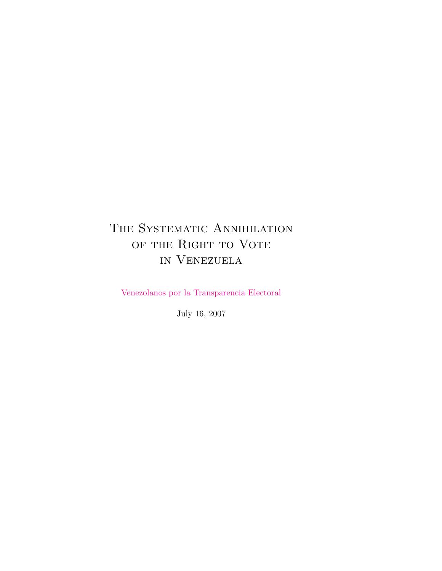# THE SYSTEMATIC ANNIHILATION of the Right to Vote in Venezuela

[Venezolanos por la Transparencia Electoral](http://esdata.info)

July 16, 2007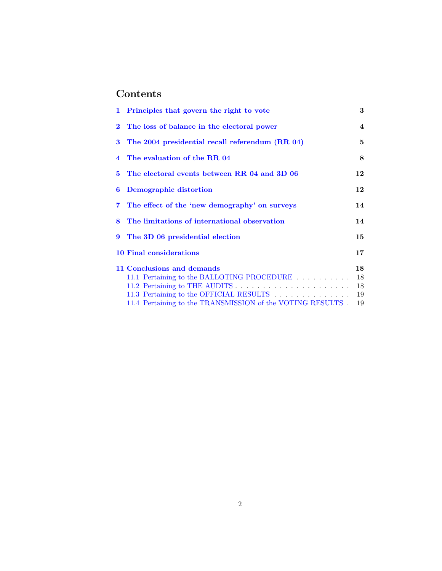# Contents

|              | 1 Principles that govern the right to vote                 | 3              |
|--------------|------------------------------------------------------------|----------------|
| $\mathbf{2}$ | The loss of balance in the electoral power                 | $\overline{4}$ |
| 3            | The 2004 presidential recall referendum (RR 04)            | 5              |
|              | 4 The evaluation of the RR 04                              | 8              |
| $5^{\circ}$  | The electoral events between RR 04 and 3D 06               | 12             |
| 6            | Demographic distortion                                     | 12             |
| 7            | The effect of the 'new demography' on surveys              | 14             |
| 8            | The limitations of international observation               | 14             |
| 9            | The 3D 06 presidential election                            | 15             |
|              | <b>10 Final considerations</b>                             | $17 \,$        |
|              | 11 Conclusions and demands                                 | 18             |
|              | 11.1 Pertaining to the BALLOTING PROCEDURE                 | 18             |
|              |                                                            | 18             |
|              | 11.3 Pertaining to the OFFICIAL RESULTS                    | 19             |
|              | 11.4 Pertaining to the TRANSMISSION of the VOTING RESULTS. | 19             |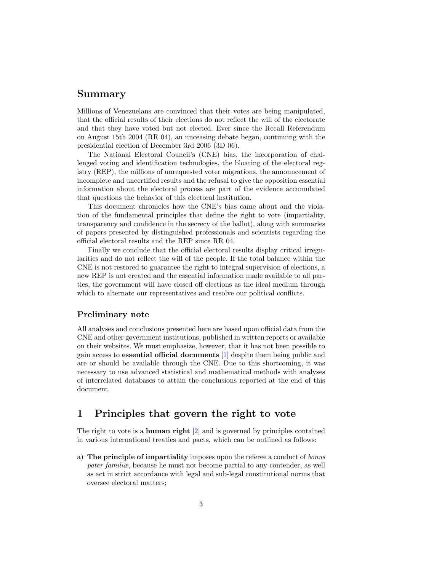### Summary

Millions of Venezuelans are convinced that their votes are being manipulated, that the official results of their elections do not reflect the will of the electorate and that they have voted but not elected. Ever since the Recall Referendum on August 15th 2004 (RR 04), an unceasing debate began, continuing with the presidential election of December 3rd 2006 (3D 06).

The National Electoral Council's (CNE) bias, the incorporation of challenged voting and identification technologies, the bloating of the electoral registry (REP), the millions of unrequested voter migrations, the announcement of incomplete and uncertified results and the refusal to give the opposition essential information about the electoral process are part of the evidence accumulated that questions the behavior of this electoral institution.

This document chronicles how the CNE's bias came about and the violation of the fundamental principles that define the right to vote (impartiality, transparency and confidence in the secrecy of the ballot), along with summaries of papers presented by distinguished professionals and scientists regarding the official electoral results and the REP since RR 04.

Finally we conclude that the official electoral results display critical irregularities and do not reflect the will of the people. If the total balance within the CNE is not restored to guarantee the right to integral supervision of elections, a new REP is not created and the essential information made available to all parties, the government will have closed off elections as the ideal medium through which to alternate our representatives and resolve our political conflicts.

### Preliminary note

<span id="page-2-1"></span>All analyses and conclusions presented here are based upon official data from the CNE and other government institutions, published in written reports or available on their websites. We must emphasize, however, that it has not been possible to gain access to essential official documents [\[1\]](#page-21-0) despite them being public and are or should be available through the CNE. Due to this shortcoming, it was necessary to use advanced statistical and mathematical methods with analyses of interrelated databases to attain the conclusions reported at the end of this document.

# <span id="page-2-0"></span>1 Principles that govern the right to vote

The right to vote is a human right [\[2\]](#page-21-1) and is governed by principles contained in various international treaties and pacts, which can be outlined as follows:

a) The principle of impartiality imposes upon the referee a conduct of bonus pater familiæ, because he must not become partial to any contender, as well as act in strict accordance with legal and sub-legal constitutional norms that oversee electoral matters;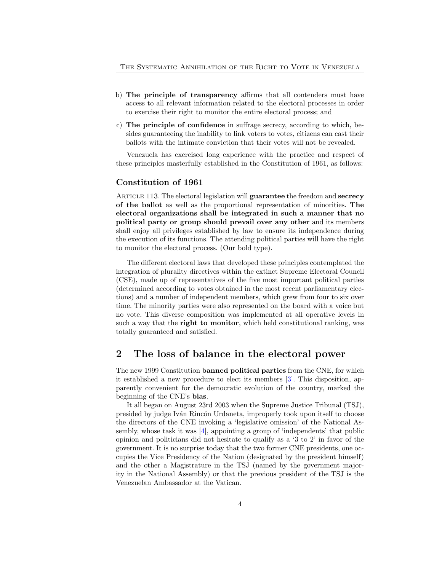- b) The principle of transparency affirms that all contenders must have access to all relevant information related to the electoral processes in order to exercise their right to monitor the entire electoral process; and
- c) The principle of confidence in suffrage secrecy, according to which, besides guaranteeing the inability to link voters to votes, citizens can cast their ballots with the intimate conviction that their votes will not be revealed.

Venezuela has exercised long experience with the practice and respect of these principles masterfully established in the Constitution of 1961, as follows:

### Constitution of 1961

ARTICLE 113. The electoral legislation will guarantee the freedom and secrecy of the ballot as well as the proportional representation of minorities. The electoral organizations shall be integrated in such a manner that no political party or group should prevail over any other and its members shall enjoy all privileges established by law to ensure its independence during the execution of its functions. The attending political parties will have the right to monitor the electoral process. (Our bold type).

The different electoral laws that developed these principles contemplated the integration of plurality directives within the extinct Supreme Electoral Council (CSE), made up of representatives of the five most important political parties (determined according to votes obtained in the most recent parliamentary elections) and a number of independent members, which grew from four to six over time. The minority parties were also represented on the board with a voice but no vote. This diverse composition was implemented at all operative levels in such a way that the right to monitor, which held constitutional ranking, was totally guaranteed and satisfied.

# <span id="page-3-0"></span>2 The loss of balance in the electoral power

The new 1999 Constitution banned political parties from the CNE, for which it established a new procedure to elect its members [\[3\]](#page-21-2). This disposition, apparently convenient for the democratic evolution of the country, marked the beginning of the CNE's bias.

It all began on August 23rd 2003 when the Supreme Justice Tribunal (TSJ), presided by judge Iv´an Rinc´on Urdaneta, improperly took upon itself to choose the directors of the CNE invoking a 'legislative omission' of the National Assembly, whose task it was [\[4\]](#page-22-0), appointing a group of 'independents' that public opinion and politicians did not hesitate to qualify as a '3 to 2' in favor of the government. It is no surprise today that the two former CNE presidents, one occupies the Vice Presidency of the Nation (designated by the president himself) and the other a Magistrature in the TSJ (named by the government majority in the National Assembly) or that the previous president of the TSJ is the Venezuelan Ambassador at the Vatican.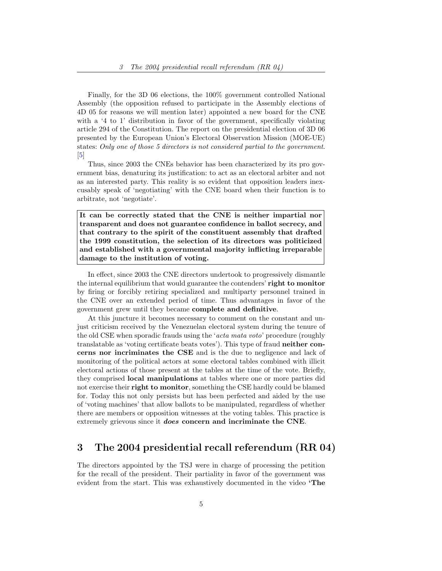Finally, for the 3D 06 elections, the 100% government controlled National Assembly (the opposition refused to participate in the Assembly elections of 4D 05 for reasons we will mention later) appointed a new board for the CNE with a '4 to 1' distribution in favor of the government, specifically violating article 294 of the Constitution. The report on the presidential election of 3D 06 presented by the European Union's Electoral Observation Mission (MOE-UE) states: Only one of those 5 directors is not considered partial to the government.  $\vert 5 \vert$ 

Thus, since 2003 the CNEs behavior has been characterized by its pro government bias, denaturing its justification: to act as an electoral arbiter and not as an interested party. This reality is so evident that opposition leaders inexcusably speak of 'negotiating' with the CNE board when their function is to arbitrate, not 'negotiate'.

It can be correctly stated that the CNE is neither impartial nor transparent and does not guarantee confidence in ballot secrecy, and that contrary to the spirit of the constituent assembly that drafted the 1999 constitution, the selection of its directors was politicized and established with a governmental majority inflicting irreparable damage to the institution of voting.

In effect, since 2003 the CNE directors undertook to progressively dismantle the internal equilibrium that would guarantee the contenders' right to monitor by firing or forcibly retiring specialized and multiparty personnel trained in the CNE over an extended period of time. Thus advantages in favor of the government grew until they became complete and definitive.

At this juncture it becomes necessary to comment on the constant and unjust criticism received by the Venezuelan electoral system during the tenure of the old CSE when sporadic frauds using the 'acta mata voto' procedure (roughly translatable as 'voting certificate beats votes'). This type of fraud neither concerns nor incriminates the CSE and is the due to negligence and lack of monitoring of the political actors at some electoral tables combined with illicit electoral actions of those present at the tables at the time of the vote. Briefly, they comprised local manipulations at tables where one or more parties did not exercise their right to monitor, something the CSE hardly could be blamed for. Today this not only persists but has been perfected and aided by the use of 'voting machines' that allow ballots to be manipulated, regardless of whether there are members or opposition witnesses at the voting tables. This practice is extremely grievous since it does concern and incriminate the CNE.

### <span id="page-4-0"></span>3 The 2004 presidential recall referendum (RR 04)

The directors appointed by the TSJ were in charge of processing the petition for the recall of the president. Their partiality in favor of the government was evident from the start. This was exhaustively documented in the video 'The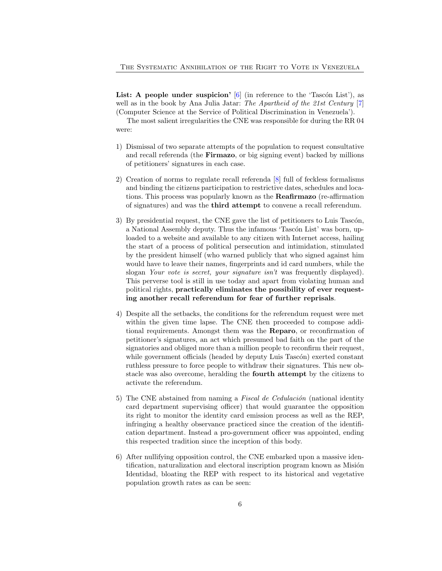**List:** A people under suspicion'  $[6]$  (in reference to the 'Tascon List'), as well as in the book by Ana Julia Jatar: The Apartheid of the 21st Century [\[7\]](#page-22-3) (Computer Science at the Service of Political Discrimination in Venezuela').

The most salient irregularities the CNE was responsible for during the RR 04 were:

- 1) Dismissal of two separate attempts of the population to request consultative and recall referenda (the Firmazo, or big signing event) backed by millions of petitioners' signatures in each case.
- 2) Creation of norms to regulate recall referenda [\[8\]](#page-22-4) full of feckless formalisms and binding the citizens participation to restrictive dates, schedules and locations. This process was popularly known as the Reafirmazo (re-affirmation of signatures) and was the third attempt to convene a recall referendum.
- 3) By presidential request, the CNE gave the list of petitioners to Luis Tascón, a National Assembly deputy. Thus the infamous 'Tascón List' was born, uploaded to a website and available to any citizen with Internet access, hailing the start of a process of political persecution and intimidation, stimulated by the president himself (who warned publicly that who signed against him would have to leave their names, fingerprints and id card numbers, while the slogan Your vote is secret, your signature isn't was frequently displayed). This perverse tool is still in use today and apart from violating human and political rights, practically eliminates the possibility of ever requesting another recall referendum for fear of further reprisals.
- 4) Despite all the setbacks, the conditions for the referendum request were met within the given time lapse. The CNE then proceeded to compose additional requirements. Amongst them was the Reparo, or reconfirmation of petitioner's signatures, an act which presumed bad faith on the part of the signatories and obliged more than a million people to reconfirm their request, while government officials (headed by deputy Luis Tascón) exerted constant ruthless pressure to force people to withdraw their signatures. This new obstacle was also overcome, heralding the fourth attempt by the citizens to activate the referendum.
- <span id="page-5-0"></span>5) The CNE abstained from naming a Fiscal de Cedulación (national identity card department supervising officer) that would guarantee the opposition its right to monitor the identity card emission process as well as the REP, infringing a healthy observance practiced since the creation of the identification department. Instead a pro-government officer was appointed, ending this respected tradition since the inception of this body.
- <span id="page-5-1"></span>6) After nullifying opposition control, the CNE embarked upon a massive identification, naturalization and electoral inscription program known as Misión Identidad, bloating the REP with respect to its historical and vegetative population growth rates as can be seen: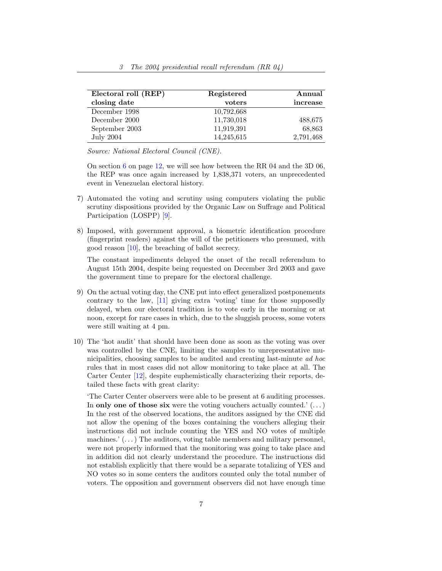| Electoral roll (REP) | Registered | Annual    |
|----------------------|------------|-----------|
| closing date         | voters     | increase  |
| December 1998        | 10.792,668 |           |
| December 2000        | 11,730,018 | 488,675   |
| September 2003       | 11,919,391 | 68,863    |
| <b>July 2004</b>     | 14,245,615 | 2,791,468 |

Source: National Electoral Council (CNE).

On section [6](#page-11-1) on page [12,](#page-11-1) we will see how between the RR 04 and the 3D 06, the REP was once again increased by 1,838,371 voters, an unprecedented event in Venezuelan electoral history.

- 7) Automated the voting and scrutiny using computers violating the public scrutiny dispositions provided by the Organic Law on Suffrage and Political Participation (LOSPP) [\[9\]](#page-22-5).
- 8) Imposed, with government approval, a biometric identification procedure (fingerprint readers) against the will of the petitioners who presumed, with good reason [\[10\]](#page-22-6), the breaching of ballot secrecy.

The constant impediments delayed the onset of the recall referendum to August 15th 2004, despite being requested on December 3rd 2003 and gave the government time to prepare for the electoral challenge.

- 9) On the actual voting day, the CNE put into effect generalized postponements contrary to the law, [\[11\]](#page-22-7) giving extra 'voting' time for those supposedly delayed, when our electoral tradition is to vote early in the morning or at noon, except for rare cases in which, due to the sluggish process, some voters were still waiting at 4 pm.
- <span id="page-6-0"></span>10) The 'hot audit' that should have been done as soon as the voting was over was controlled by the CNE, limiting the samples to unrepresentative municipalities, choosing samples to be audited and creating last-minute ad hoc rules that in most cases did not allow monitoring to take place at all. The Carter Center [\[12\]](#page-22-8), despite euphemistically characterizing their reports, detailed these facts with great clarity:

'The Carter Center observers were able to be present at 6 auditing processes. In only one of those six were the voting vouchers actually counted.'  $(\ldots)$ In the rest of the observed locations, the auditors assigned by the CNE did not allow the opening of the boxes containing the vouchers alleging their instructions did not include counting the YES and NO votes of multiple machines.'  $(\ldots)$  The auditors, voting table members and military personnel, were not properly informed that the monitoring was going to take place and in addition did not clearly understand the procedure. The instructions did not establish explicitly that there would be a separate totalizing of YES and NO votes so in some centers the auditors counted only the total number of voters. The opposition and government observers did not have enough time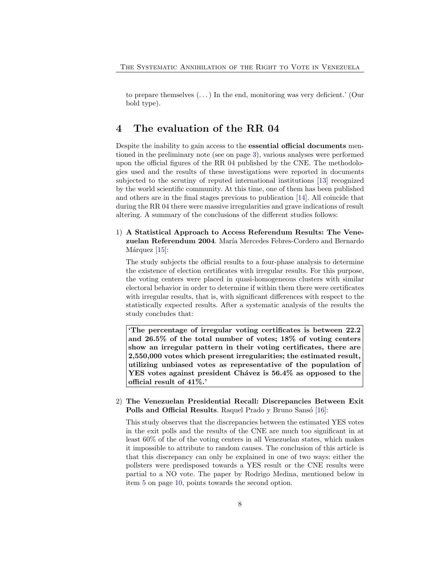to prepare themselves  $(\ldots)$  In the end, monitoring was very deficient.' (Our bold type).

### <span id="page-7-0"></span>4 The evaluation of the RR 04

Despite the inability to gain access to the essential official documents mentioned in the preliminary note (see on page [3\)](#page-2-1), various analyses were performed upon the official figures of the RR 04 published by the CNE. The methodologies used and the results of these investigations were reported in documents subjected to the scrutiny of reputed international institutions [\[13\]](#page-22-9) recognized by the world scientific community. At this time, one of them has been published and others are in the final stages previous to publication [\[14\]](#page-22-10). All coincide that during the RR 04 there were massive irregularities and grave indications of result altering. A summary of the conclusions of the different studies follows:

<span id="page-7-1"></span>1) A Statistical Approach to Access Referendum Results: The Venezuelan Referendum 2004. María Mercedes Febres-Cordero and Bernardo Márquez  $[15]$ :

The study subjects the official results to a four-phase analysis to determine the existence of election certificates with irregular results. For this purpose, the voting centers were placed in quasi-homogeneous clusters with similar electoral behavior in order to determine if within them there were certificates with irregular results, that is, with significant differences with respect to the statistically expected results. After a systematic analysis of the results the study concludes that:

'The percentage of irregular voting certificates is between 22.2 and 26.5% of the total number of votes; 18% of voting centers show an irregular pattern in their voting certificates, there are 2,550,000 votes which present irregularities; the estimated result, utilizing unbiased votes as representative of the population of  $YES$  votes against president Chávez is  $56.4\%$  as opposed to the official result of 41%.'

### <span id="page-7-2"></span>2) The Venezuelan Presidential Recall: Discrepancies Between Exit **Polls and Official Results.** Raquel Prado y Bruno Sansó  $[16]$ :

This study observes that the discrepancies between the estimated YES votes in the exit polls and the results of the CNE are much too significant in at least 60% of the of the voting centers in all Venezuelan states, which makes it impossible to attribute to random causes. The conclusion of this article is that this discrepancy can only be explained in one of two ways: either the pollsters were predisposed towards a YES result or the CNE results were partial to a NO vote. The paper by Rodrigo Medina, mentioned below in item [5](#page-9-0) on page [10,](#page-9-0) points towards the second option.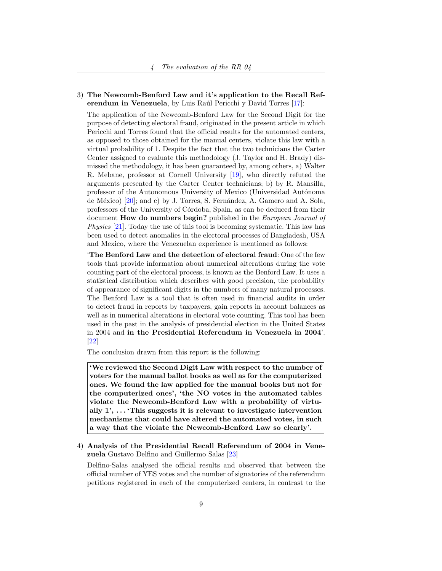<span id="page-8-0"></span>3) The Newcomb-Benford Law and it's application to the Recall Ref-erendum in Venezuela, by Luis Raúl Pericchi y David Torres [\[17\]](#page-23-2):

The application of the Newcomb-Benford Law for the Second Digit for the purpose of detecting electoral fraud, originated in the present article in which Pericchi and Torres found that the official results for the automated centers, as opposed to those obtained for the manual centers, violate this law with a virtual probability of 1. Despite the fact that the two technicians the Carter Center assigned to evaluate this methodology (J. Taylor and H. Brady) dismissed the methodology, it has been guaranteed by, among others, a) Walter R. Mebane, professor at Cornell University [\[19\]](#page-23-3), who directly refuted the arguments presented by the Carter Center technicians; b) by R. Mansilla, professor of the Autonomous University of Mexico (Universidad Autónoma de México)  $[20]$ ; and c) by J. Torres, S. Fernández, A. Gamero and A. Sola, professors of the University of Córdoba, Spain, as can be deduced from their document **How do numbers begin?** published in the *European Journal of* Physics [\[21\]](#page-23-5). Today the use of this tool is becoming systematic. This law has been used to detect anomalies in the electoral processes of Bangladesh, USA and Mexico, where the Venezuelan experience is mentioned as follows:

'The Benford Law and the detection of electoral fraud: One of the few tools that provide information about numerical alterations during the vote counting part of the electoral process, is known as the Benford Law. It uses a statistical distribution which describes with good precision, the probability of appearance of significant digits in the numbers of many natural processes. The Benford Law is a tool that is often used in financial audits in order to detect fraud in reports by taxpayers, gain reports in account balances as well as in numerical alterations in electoral vote counting. This tool has been used in the past in the analysis of presidential election in the United States in 2004 and in the Presidential Referendum in Venezuela in 2004'. [\[22\]](#page-23-6)

The conclusion drawn from this report is the following:

'We reviewed the Second Digit Law with respect to the number of voters for the manual ballot books as well as for the computerized ones. We found the law applied for the manual books but not for the computerized ones', 'the NO votes in the automated tables violate the Newcomb-Benford Law with a probability of virtually  $1', \ldots$  This suggests it is relevant to investigate intervention mechanisms that could have altered the automated votes, in such a way that the violate the Newcomb-Benford Law so clearly'.

<span id="page-8-1"></span>4) Analysis of the Presidential Recall Referendum of 2004 in Venezuela Gustavo Delfino and Guillermo Salas [\[23\]](#page-23-7)

Delfino-Salas analysed the official results and observed that between the official number of YES votes and the number of signatories of the referendum petitions registered in each of the computerized centers, in contrast to the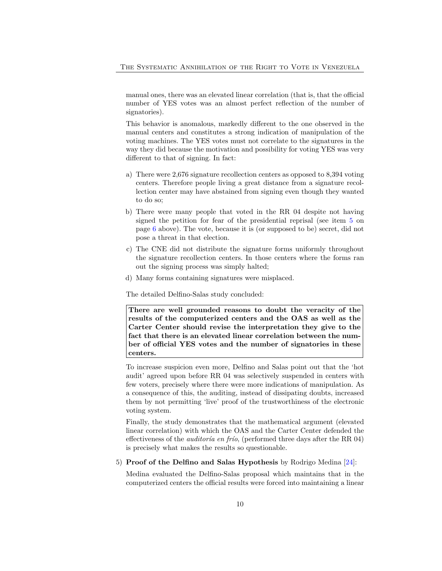manual ones, there was an elevated linear correlation (that is, that the official number of YES votes was an almost perfect reflection of the number of signatories).

This behavior is anomalous, markedly different to the one observed in the manual centers and constitutes a strong indication of manipulation of the voting machines. The YES votes must not correlate to the signatures in the way they did because the motivation and possibility for voting YES was very different to that of signing. In fact:

- a) There were 2,676 signature recollection centers as opposed to 8,394 voting centers. Therefore people living a great distance from a signature recollection center may have abstained from signing even though they wanted to do so;
- b) There were many people that voted in the RR 04 despite not having signed the petition for fear of the presidential reprisal (see item [5](#page-5-0) on page [6](#page-5-0) above). The vote, because it is (or supposed to be) secret, did not pose a threat in that election.
- c) The CNE did not distribute the signature forms uniformly throughout the signature recollection centers. In those centers where the forms ran out the signing process was simply halted;
- d) Many forms containing signatures were misplaced.

The detailed Delfino-Salas study concluded:

There are well grounded reasons to doubt the veracity of the results of the computerized centers and the OAS as well as the Carter Center should revise the interpretation they give to the fact that there is an elevated linear correlation between the number of official YES votes and the number of signatories in these centers.

To increase suspicion even more, Delfino and Salas point out that the 'hot audit' agreed upon before RR 04 was selectively suspended in centers with few voters, precisely where there were more indications of manipulation. As a consequence of this, the auditing, instead of dissipating doubts, increased them by not permitting 'live' proof of the trustworthiness of the electronic voting system.

Finally, the study demonstrates that the mathematical argument (elevated linear correlation) with which the OAS and the Carter Center defended the effectiveness of the *auditoria en frio*, (performed three days after the RR 04) is precisely what makes the results so questionable.

<span id="page-9-0"></span>5) Proof of the Delfino and Salas Hypothesis by Rodrigo Medina [\[24\]](#page-23-8):

Medina evaluated the Delfino-Salas proposal which maintains that in the computerized centers the official results were forced into maintaining a linear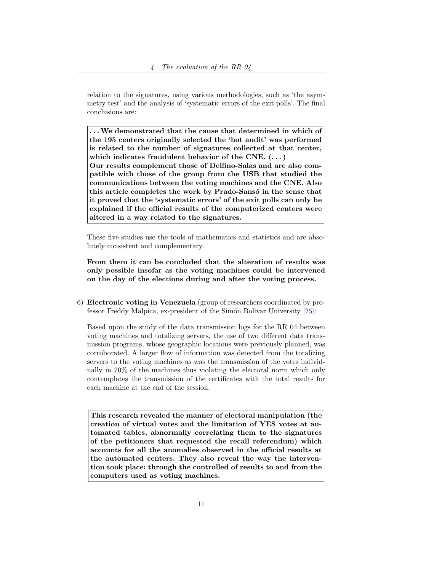relation to the signatures, using various methodologies, such as 'the asymmetry test' and the analysis of 'systematic errors of the exit polls'. The final conclusions are:

. . .We demonstrated that the cause that determined in which of the 195 centers originally selected the 'hot audit' was performed is related to the number of signatures collected at that center, which indicates fraudulent behavior of the CNE.  $(\dots)$ Our results complement those of Delfino-Salas and are also compatible with those of the group from the USB that studied the communications between the voting machines and the CNE. Also this article completes the work by Prado-Sansó in the sense that it proved that the 'systematic errors' of the exit polls can only be explained if the official results of the computerized centers were altered in a way related to the signatures.

These five studies use the tools of mathematics and statistics and are absolutely consistent and complementary.

From them it can be concluded that the alteration of results was only possible insofar as the voting machines could be intervened on the day of the elections during and after the voting process.

<span id="page-10-0"></span>6) Electronic voting in Venezuela (group of researchers coordinated by professor Freddy Malpica, ex-president of the Simón Bolívar University  $[25]$ :

Based upon the study of the data transmission logs for the RR 04 between voting machines and totalizing servers, the use of two different data transmission programs, whose geographic locations were previously planned, was corroborated. A larger flow of information was detected from the totalizing servers to the voting machines as was the transmission of the votes individually in 70% of the machines thus violating the electoral norm which only contemplates the transmission of the certificates with the total results for each machine at the end of the session.

This research revealed the manner of electoral manipulation (the creation of virtual votes and the limitation of YES votes at automated tables, abnormally correlating them to the signatures of the petitioners that requested the recall referendum) which accounts for all the anomalies observed in the official results at the automated centers. They also reveal the way the intervention took place: through the controlled of results to and from the computers used as voting machines.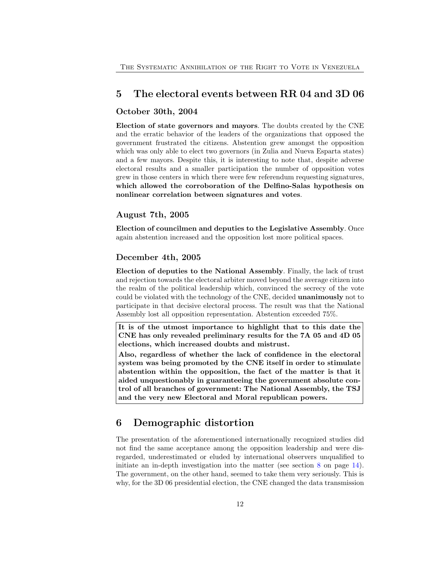### <span id="page-11-0"></span>5 The electoral events between RR 04 and 3D 06

#### October 30th, 2004

Election of state governors and mayors. The doubts created by the CNE and the erratic behavior of the leaders of the organizations that opposed the government frustrated the citizens. Abstention grew amongst the opposition which was only able to elect two governors (in Zulia and Nueva Esparta states) and a few mayors. Despite this, it is interesting to note that, despite adverse electoral results and a smaller participation the number of opposition votes grew in those centers in which there were few referendum requesting signatures, which allowed the corroboration of the Delfino-Salas hypothesis on nonlinear correlation between signatures and votes.

### August 7th, 2005

Election of councilmen and deputies to the Legislative Assembly. Once again abstention increased and the opposition lost more political spaces.

#### December 4th, 2005

Election of deputies to the National Assembly. Finally, the lack of trust and rejection towards the electoral arbiter moved beyond the average citizen into the realm of the political leadership which, convinced the secrecy of the vote could be violated with the technology of the CNE, decided unanimously not to participate in that decisive electoral process. The result was that the National Assembly lost all opposition representation. Abstention exceeded 75%.

It is of the utmost importance to highlight that to this date the CNE has only revealed preliminary results for the 7A 05 and 4D 05 elections, which increased doubts and mistrust.

Also, regardless of whether the lack of confidence in the electoral system was being promoted by the CNE itself in order to stimulate abstention within the opposition, the fact of the matter is that it aided unquestionably in guaranteeing the government absolute control of all branches of government: The National Assembly, the TSJ and the very new Electoral and Moral republican powers.

## <span id="page-11-1"></span>6 Demographic distortion

The presentation of the aforementioned internationally recognized studies did not find the same acceptance among the opposition leadership and were disregarded, underestimated or eluded by international observers unqualified to initiate an in-depth investigation into the matter (see section [8](#page-13-1) on page [14\)](#page-13-1). The government, on the other hand, seemed to take them very seriously. This is why, for the 3D 06 presidential election, the CNE changed the data transmission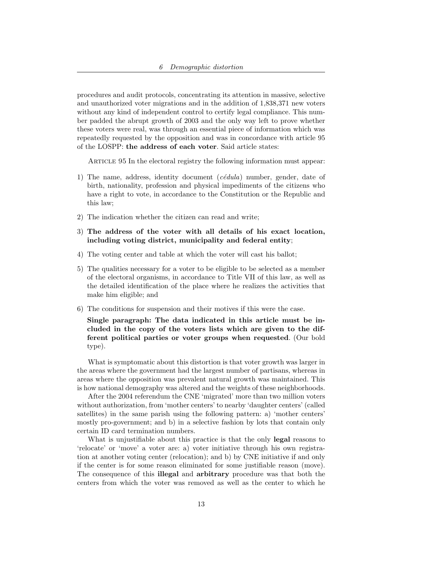procedures and audit protocols, concentrating its attention in massive, selective and unauthorized voter migrations and in the addition of 1,838,371 new voters without any kind of independent control to certify legal compliance. This number padded the abrupt growth of 2003 and the only way left to prove whether these voters were real, was through an essential piece of information which was repeatedly requested by the opposition and was in concordance with article 95 of the LOSPP: the address of each voter. Said article states:

ARTICLE 95 In the electoral registry the following information must appear:

- 1) The name, address, identity document  $(c\acute{e}dula)$  number, gender, date of birth, nationality, profession and physical impediments of the citizens who have a right to vote, in accordance to the Constitution or the Republic and this law;
- 2) The indication whether the citizen can read and write;
- 3) The address of the voter with all details of his exact location, including voting district, municipality and federal entity;
- 4) The voting center and table at which the voter will cast his ballot;
- 5) The qualities necessary for a voter to be eligible to be selected as a member of the electoral organisms, in accordance to Title VII of this law, as well as the detailed identification of the place where he realizes the activities that make him eligible; and
- 6) The conditions for suspension and their motives if this were the case.

Single paragraph: The data indicated in this article must be included in the copy of the voters lists which are given to the different political parties or voter groups when requested. (Our bold type).

What is symptomatic about this distortion is that voter growth was larger in the areas where the government had the largest number of partisans, whereas in areas where the opposition was prevalent natural growth was maintained. This is how national demography was altered and the weights of these neighborhoods.

After the 2004 referendum the CNE 'migrated' more than two million voters without authorization, from 'mother centers' to nearby 'daughter centers' (called satellites) in the same parish using the following pattern: a) 'mother centers' mostly pro-government; and b) in a selective fashion by lots that contain only certain ID card termination numbers.

What is unjustifiable about this practice is that the only **legal** reasons to 'relocate' or 'move' a voter are: a) voter initiative through his own registration at another voting center (relocation); and b) by CNE initiative if and only if the center is for some reason eliminated for some justifiable reason (move). The consequence of this illegal and arbitrary procedure was that both the centers from which the voter was removed as well as the center to which he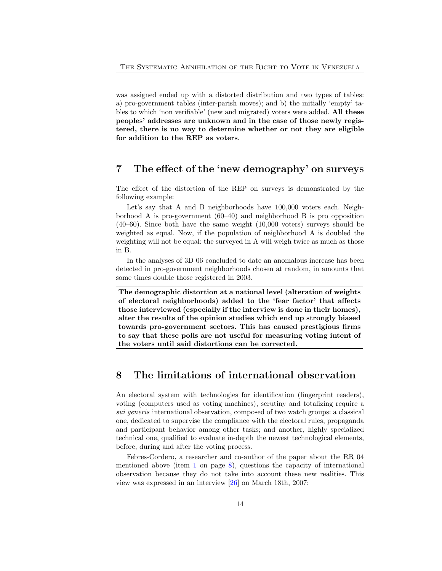was assigned ended up with a distorted distribution and two types of tables: a) pro-government tables (inter-parish moves); and b) the initially 'empty' tables to which 'non verifiable' (new and migrated) voters were added. All these peoples' addresses are unknown and in the case of those newly registered, there is no way to determine whether or not they are eligible for addition to the REP as voters.

### <span id="page-13-0"></span>7 The effect of the 'new demography' on surveys

The effect of the distortion of the REP on surveys is demonstrated by the following example:

Let's say that A and B neighborhoods have  $100,000$  voters each. Neighborhood A is pro-government (60–40) and neighborhood B is pro opposition (40–60). Since both have the same weight (10,000 voters) surveys should be weighted as equal. Now, if the population of neighborhood A is doubled the weighting will not be equal: the surveyed in A will weigh twice as much as those in B.

In the analyses of 3D 06 concluded to date an anomalous increase has been detected in pro-government neighborhoods chosen at random, in amounts that some times double those registered in 2003.

The demographic distortion at a national level (alteration of weights of electoral neighborhoods) added to the 'fear factor' that affects those interviewed (especially if the interview is done in their homes), alter the results of the opinion studies which end up strongly biased towards pro-government sectors. This has caused prestigious firms to say that these polls are not useful for measuring voting intent of the voters until said distortions can be corrected.

### <span id="page-13-1"></span>8 The limitations of international observation

An electoral system with technologies for identification (fingerprint readers), voting (computers used as voting machines), scrutiny and totalizing require a sui generis international observation, composed of two watch groups: a classical one, dedicated to supervise the compliance with the electoral rules, propaganda and participant behavior among other tasks; and another, highly specialized technical one, qualified to evaluate in-depth the newest technological elements, before, during and after the voting process.

Febres-Cordero, a researcher and co-author of the paper about the RR 04 mentioned above (item [1](#page-7-1) on page [8\)](#page-7-1), questions the capacity of international observation because they do not take into account these new realities. This view was expressed in an interview [\[26\]](#page-24-0) on March 18th, 2007: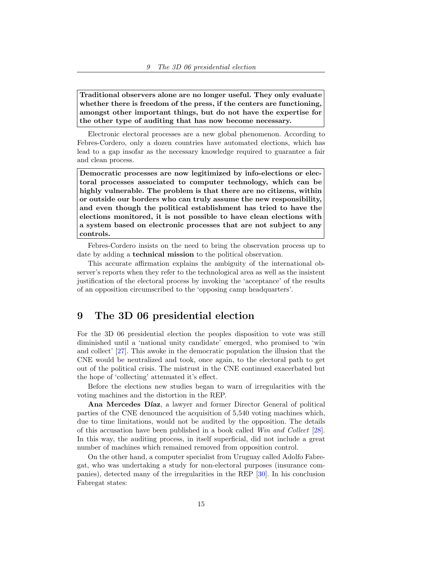Traditional observers alone are no longer useful. They only evaluate whether there is freedom of the press, if the centers are functioning, amongst other important things, but do not have the expertise for the other type of auditing that has now become necessary.

Electronic electoral processes are a new global phenomenon. According to Febres-Cordero, only a dozen countries have automated elections, which has lead to a gap insofar as the necessary knowledge required to guarantee a fair and clean process.

Democratic processes are now legitimized by info-elections or electoral processes associated to computer technology, which can be highly vulnerable. The problem is that there are no citizens, within or outside our borders who can truly assume the new responsibility, and even though the political establishment has tried to have the elections monitored, it is not possible to have clean elections with a system based on electronic processes that are not subject to any controls.

Febres-Cordero insists on the need to bring the observation process up to date by adding a technical mission to the political observation.

This accurate affirmation explains the ambiguity of the international observer's reports when they refer to the technological area as well as the insistent justification of the electoral process by invoking the 'acceptance' of the results of an opposition circumscribed to the 'opposing camp headquarters'.

### <span id="page-14-0"></span>9 The 3D 06 presidential election

For the 3D 06 presidential election the peoples disposition to vote was still diminished until a 'national unity candidate' emerged, who promised to 'win and collect' [\[27\]](#page-24-1). This awoke in the democratic population the illusion that the CNE would be neutralized and took, once again, to the electoral path to get out of the political crisis. The mistrust in the CNE continued exacerbated but the hope of 'collecting' attenuated it's effect.

Before the elections new studies began to warn of irregularities with the voting machines and the distortion in the REP.

Ana Mercedes Díaz, a lawyer and former Director General of political parties of the CNE denounced the acquisition of 5,540 voting machines which, due to time limitations, would not be audited by the opposition. The details of this accusation have been published in a book called Win and Collect [\[28\]](#page-24-2). In this way, the auditing process, in itself superficial, did not include a great number of machines which remained removed from opposition control.

On the other hand, a computer specialist from Uruguay called Adolfo Fabregat, who was undertaking a study for non-electoral purposes (insurance companies), detected many of the irregularities in the REP [\[30\]](#page-24-3). In his conclusion Fabregat states: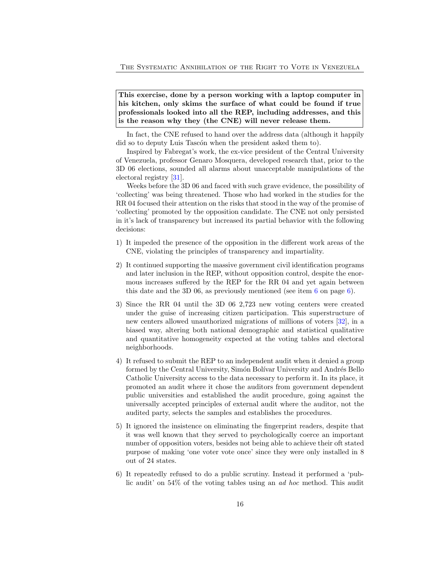This exercise, done by a person working with a laptop computer in his kitchen, only skims the surface of what could be found if true professionals looked into all the REP, including addresses, and this is the reason why they (the CNE) will never release them.

In fact, the CNE refused to hand over the address data (although it happily did so to deputy Luis Tascón when the president asked them to).

Inspired by Fabregat's work, the ex-vice president of the Central University of Venezuela, professor Genaro Mosquera, developed research that, prior to the 3D 06 elections, sounded all alarms about unacceptable manipulations of the electoral registry [\[31\]](#page-24-4).

Weeks before the 3D 06 and faced with such grave evidence, the possibility of 'collecting' was being threatened. Those who had worked in the studies for the RR 04 focused their attention on the risks that stood in the way of the promise of 'collecting' promoted by the opposition candidate. The CNE not only persisted in it's lack of transparency but increased its partial behavior with the following decisions:

- 1) It impeded the presence of the opposition in the different work areas of the CNE, violating the principles of transparency and impartiality.
- 2) It continued supporting the massive government civil identification programs and later inclusion in the REP, without opposition control, despite the enormous increases suffered by the REP for the RR 04 and yet again between this date and the 3D 0[6](#page-5-1), as previously mentioned (see item 6 on page [6\)](#page-5-1).
- 3) Since the RR 04 until the 3D 06 2,723 new voting centers were created under the guise of increasing citizen participation. This superstructure of new centers allowed unauthorized migrations of millions of voters [\[32\]](#page-24-5), in a biased way, altering both national demographic and statistical qualitative and quantitative homogeneity expected at the voting tables and electoral neighborhoods.
- 4) It refused to submit the REP to an independent audit when it denied a group formed by the Central University, Simón Bolívar University and Andrés Bello Catholic University access to the data necessary to perform it. In its place, it promoted an audit where it chose the auditors from government dependent public universities and established the audit procedure, going against the universally accepted principles of external audit where the auditor, not the audited party, selects the samples and establishes the procedures.
- 5) It ignored the insistence on eliminating the fingerprint readers, despite that it was well known that they served to psychologically coerce an important number of opposition voters, besides not being able to achieve their oft stated purpose of making 'one voter vote once' since they were only installed in 8 out of 24 states.
- 6) It repeatedly refused to do a public scrutiny. Instead it performed a 'public audit' on 54% of the voting tables using an ad hoc method. This audit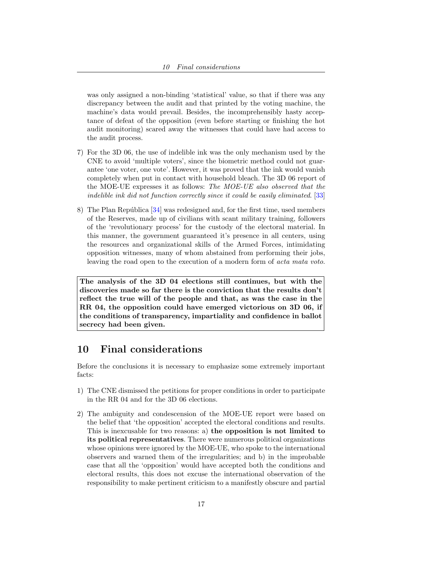was only assigned a non-binding 'statistical' value, so that if there was any discrepancy between the audit and that printed by the voting machine, the machine's data would prevail. Besides, the incomprehensibly hasty acceptance of defeat of the opposition (even before starting or finishing the hot audit monitoring) scared away the witnesses that could have had access to the audit process.

- 7) For the 3D 06, the use of indelible ink was the only mechanism used by the CNE to avoid 'multiple voters', since the biometric method could not guarantee 'one voter, one vote'. However, it was proved that the ink would vanish completely when put in contact with household bleach. The 3D 06 report of the MOE-UE expresses it as follows: The MOE-UE also observed that the indelible ink did not function correctly since it could be easily eliminated. [\[33\]](#page-24-6)
- 8) The Plan República [\[34\]](#page-24-7) was redesigned and, for the first time, used members of the Reserves, made up of civilians with scant military training, followers of the 'revolutionary process' for the custody of the electoral material. In this manner, the government guaranteed it's presence in all centers, using the resources and organizational skills of the Armed Forces, intimidating opposition witnesses, many of whom abstained from performing their jobs, leaving the road open to the execution of a modern form of acta mata voto.

The analysis of the 3D 04 elections still continues, but with the discoveries made so far there is the conviction that the results don't reflect the true will of the people and that, as was the case in the RR 04, the opposition could have emerged victorious on 3D 06, if the conditions of transparency, impartiality and confidence in ballot secrecy had been given.

## <span id="page-16-0"></span>10 Final considerations

Before the conclusions it is necessary to emphasize some extremely important facts:

- 1) The CNE dismissed the petitions for proper conditions in order to participate in the RR 04 and for the 3D 06 elections.
- 2) The ambiguity and condescension of the MOE-UE report were based on the belief that 'the opposition' accepted the electoral conditions and results. This is inexcusable for two reasons: a) the opposition is not limited to its political representatives. There were numerous political organizations whose opinions were ignored by the MOE-UE, who spoke to the international observers and warned them of the irregularities; and b) in the improbable case that all the 'opposition' would have accepted both the conditions and electoral results, this does not excuse the international observation of the responsibility to make pertinent criticism to a manifestly obscure and partial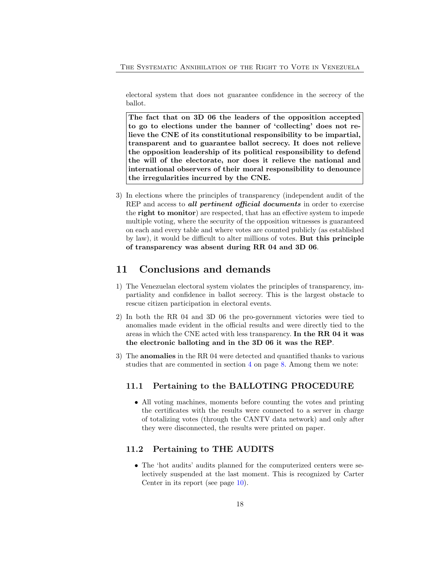electoral system that does not guarantee confidence in the secrecy of the ballot.

The fact that on 3D 06 the leaders of the opposition accepted to go to elections under the banner of 'collecting' does not relieve the CNE of its constitutional responsibility to be impartial, transparent and to guarantee ballot secrecy. It does not relieve the opposition leadership of its political responsibility to defend the will of the electorate, nor does it relieve the national and international observers of their moral responsibility to denounce the irregularities incurred by the CNE.

3) In elections where the principles of transparency (independent audit of the REP and access to all pertinent official documents in order to exercise the right to monitor) are respected, that has an effective system to impede multiple voting, where the security of the opposition witnesses is guaranteed on each and every table and where votes are counted publicly (as established by law), it would be difficult to alter millions of votes. But this principle of transparency was absent during RR 04 and 3D 06.

### <span id="page-17-0"></span>11 Conclusions and demands

- 1) The Venezuelan electoral system violates the principles of transparency, impartiality and confidence in ballot secrecy. This is the largest obstacle to rescue citizen participation in electoral events.
- 2) In both the RR 04 and 3D 06 the pro-government victories were tied to anomalies made evident in the official results and were directly tied to the areas in which the CNE acted with less transparency. In the RR 04 it was the electronic balloting and in the 3D 06 it was the REP.
- 3) The anomalies in the RR 04 were detected and quantified thanks to various studies that are commented in section [4](#page-7-0) on page [8.](#page-7-0) Among them we note:

#### <span id="page-17-1"></span>11.1 Pertaining to the BALLOTING PROCEDURE

• All voting machines, moments before counting the votes and printing the certificates with the results were connected to a server in charge of totalizing votes (through the CANTV data network) and only after they were disconnected, the results were printed on paper.

### <span id="page-17-2"></span>11.2 Pertaining to THE AUDITS

• The 'hot audits' audits planned for the computerized centers were selectively suspended at the last moment. This is recognized by Carter Center in its report (see page [10\)](#page-6-0).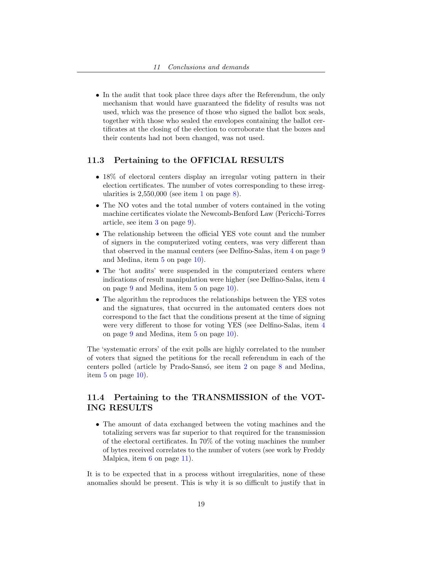• In the audit that took place three days after the Referendum, the only mechanism that would have guaranteed the fidelity of results was not used, which was the presence of those who signed the ballot box seals, together with those who sealed the envelopes containing the ballot certificates at the closing of the election to corroborate that the boxes and their contents had not been changed, was not used.

### <span id="page-18-0"></span>11.3 Pertaining to the OFFICIAL RESULTS

- 18% of electoral centers display an irregular voting pattern in their election certificates. The number of votes corresponding to these irregularities is  $2,550,000$  (see item [1](#page-7-1) on page [8\)](#page-7-1).
- The NO votes and the total number of voters contained in the voting machine certificates violate the Newcomb-Benford Law (Pericchi-Torres article, see item [3](#page-8-0) on page [9\)](#page-8-0).
- The relationship between the official YES vote count and the number of signers in the computerized voting centers, was very different than that observed in the manual centers (see Delfino-Salas, item [4](#page-8-1) on page [9](#page-8-1) and Medina, item [5](#page-9-0) on page [10\)](#page-9-0).
- The 'hot audits' were suspended in the computerized centers where indications of result manipulation were higher (see Delfino-Salas, item [4](#page-8-1) on page [9](#page-8-1) and Medina, item [5](#page-9-0) on page [10\)](#page-9-0).
- The algorithm the reproduces the relationships between the YES votes and the signatures, that occurred in the automated centers does not correspond to the fact that the conditions present at the time of signing were very different to those for voting YES (see Delfino-Salas, item [4](#page-8-1) on page [9](#page-8-1) and Medina, item [5](#page-9-0) on page [10\)](#page-9-0).

The 'systematic errors' of the exit polls are highly correlated to the number of voters that signed the petitions for the recall referendum in each of the centers polled (article by Prado-Sansó, see item [2](#page-7-2) on page [8](#page-7-2) and Medina, item [5](#page-9-0) on page [10\)](#page-9-0).

### <span id="page-18-1"></span>11.4 Pertaining to the TRANSMISSION of the VOT-ING RESULTS

• The amount of data exchanged between the voting machines and the totalizing servers was far superior to that required for the transmission of the electoral certificates. In 70% of the voting machines the number of bytes received correlates to the number of voters (see work by Freddy Malpica, item  $6$  on page 11.

It is to be expected that in a process without irregularities, none of these anomalies should be present. This is why it is so difficult to justify that in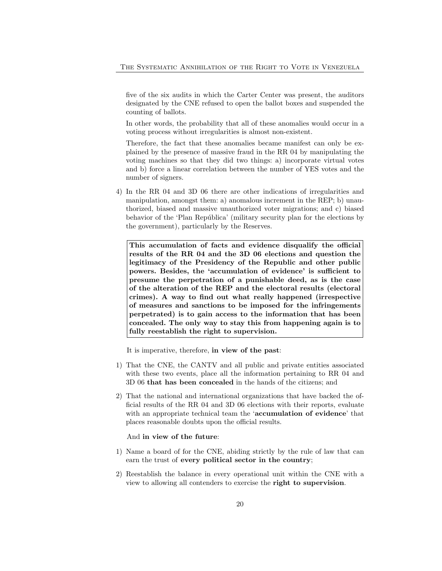five of the six audits in which the Carter Center was present, the auditors designated by the CNE refused to open the ballot boxes and suspended the counting of ballots.

In other words, the probability that all of these anomalies would occur in a voting process without irregularities is almost non-existent.

Therefore, the fact that these anomalies became manifest can only be explained by the presence of massive fraud in the RR 04 by manipulating the voting machines so that they did two things: a) incorporate virtual votes and b) force a linear correlation between the number of YES votes and the number of signers.

4) In the RR 04 and 3D 06 there are other indications of irregularities and manipulation, amongst them: a) anomalous increment in the REP; b) unauthorized, biased and massive unauthorized voter migrations; and c) biased behavior of the 'Plan República' (military security plan for the elections by the government), particularly by the Reserves.

This accumulation of facts and evidence disqualify the official results of the RR 04 and the 3D 06 elections and question the legitimacy of the Presidency of the Republic and other public powers. Besides, the 'accumulation of evidence' is sufficient to presume the perpetration of a punishable deed, as is the case of the alteration of the REP and the electoral results (electoral crimes). A way to find out what really happened (irrespective of measures and sanctions to be imposed for the infringements perpetrated) is to gain access to the information that has been concealed. The only way to stay this from happening again is to fully reestablish the right to supervision.

It is imperative, therefore, in view of the past:

- 1) That the CNE, the CANTV and all public and private entities associated with these two events, place all the information pertaining to RR 04 and 3D 06 that has been concealed in the hands of the citizens; and
- 2) That the national and international organizations that have backed the official results of the RR 04 and 3D 06 elections with their reports, evaluate with an appropriate technical team the 'accumulation of evidence' that places reasonable doubts upon the official results.

And in view of the future:

- 1) Name a board of for the CNE, abiding strictly by the rule of law that can earn the trust of every political sector in the country;
- 2) Reestablish the balance in every operational unit within the CNE with a view to allowing all contenders to exercise the right to supervision.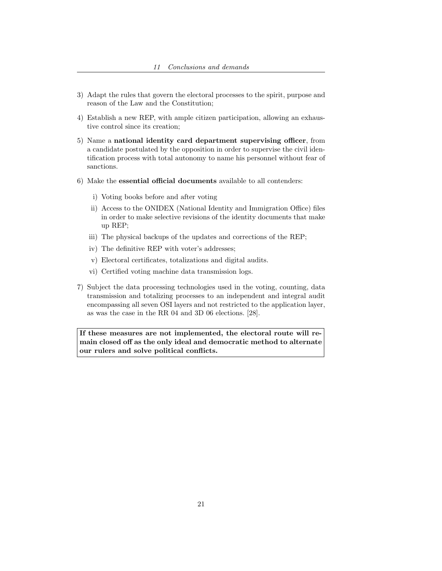- 3) Adapt the rules that govern the electoral processes to the spirit, purpose and reason of the Law and the Constitution;
- 4) Establish a new REP, with ample citizen participation, allowing an exhaustive control since its creation;
- 5) Name a national identity card department supervising officer, from a candidate postulated by the opposition in order to supervise the civil identification process with total autonomy to name his personnel without fear of sanctions.
- 6) Make the essential official documents available to all contenders:
	- i) Voting books before and after voting
	- ii) Access to the ONIDEX (National Identity and Immigration Office) files in order to make selective revisions of the identity documents that make up REP;
	- iii) The physical backups of the updates and corrections of the REP;
	- iv) The definitive REP with voter's addresses;
	- v) Electoral certificates, totalizations and digital audits.
	- vi) Certified voting machine data transmission logs.
- 7) Subject the data processing technologies used in the voting, counting, data transmission and totalizing processes to an independent and integral audit encompassing all seven OSI layers and not restricted to the application layer, as was the case in the RR 04 and 3D 06 elections. [28].

If these measures are not implemented, the electoral route will remain closed off as the only ideal and democratic method to alternate our rulers and solve political conflicts.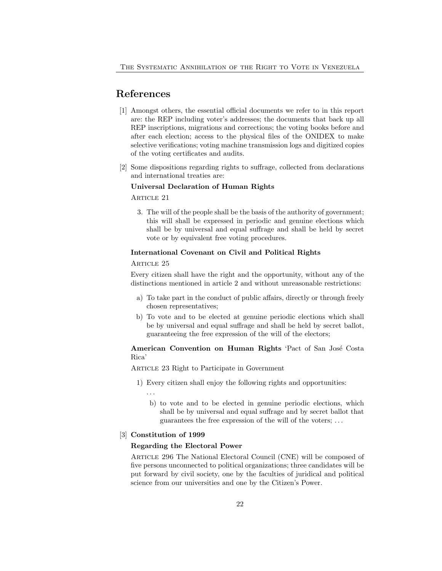## References

- <span id="page-21-0"></span>[1] Amongst others, the essential official documents we refer to in this report are: the REP including voter's addresses; the documents that back up all REP inscriptions, migrations and corrections; the voting books before and after each election; access to the physical files of the ONIDEX to make selective verifications; voting machine transmission logs and digitized copies of the voting certificates and audits.
- <span id="page-21-1"></span>[2] Some dispositions regarding rights to suffrage, collected from declarations and international treaties are:

#### Universal Declaration of Human Rights

ARTICLE 21

3. The will of the people shall be the basis of the authority of government; this will shall be expressed in periodic and genuine elections which shall be by universal and equal suffrage and shall be held by secret vote or by equivalent free voting procedures.

#### International Covenant on Civil and Political Rights

#### ARTICLE 25

Every citizen shall have the right and the opportunity, without any of the distinctions mentioned in article 2 and without unreasonable restrictions:

- a) To take part in the conduct of public affairs, directly or through freely chosen representatives;
- b) To vote and to be elected at genuine periodic elections which shall be by universal and equal suffrage and shall be held by secret ballot, guaranteeing the free expression of the will of the electors;

### American Convention on Human Rights 'Pact of San José Costa Rica'

Article 23 Right to Participate in Government

1) Every citizen shall enjoy the following rights and opportunities:

. . .

b) to vote and to be elected in genuine periodic elections, which shall be by universal and equal suffrage and by secret ballot that guarantees the free expression of the will of the voters; . . .

#### <span id="page-21-2"></span>[3] Constitution of 1999

#### Regarding the Electoral Power

Article 296 The National Electoral Council (CNE) will be composed of five persons unconnected to political organizations; three candidates will be put forward by civil society, one by the faculties of juridical and political science from our universities and one by the Citizen's Power.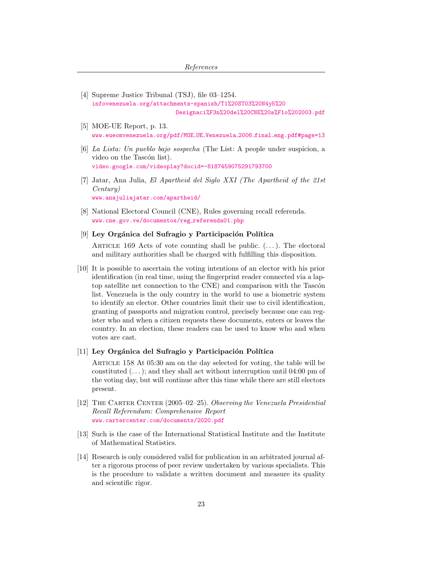- <span id="page-22-0"></span>[4] Supreme Justice Tribunal (TSJ), file 03–1254. [infovenezuela.org/attachments-spanish/T1%20ST03%20N4y5%20](http://infovenezuela.org/attachments-spanish/T1%20ST03%20N4y5%20Designaci%F3n%20del%20CNE%20a%F1o%202003.pdf) [Designaci%F3n%20del%20CNE%20a%F1o%202003.pdf](http://infovenezuela.org/attachments-spanish/T1%20ST03%20N4y5%20Designaci%F3n%20del%20CNE%20a%F1o%202003.pdf)
- <span id="page-22-1"></span>[5] MOE-UE Report, p. 13. [www.eueomvenezuela.org/pdf/MOE](http://www.eueomvenezuela.org/pdf/MOE_UE_Venezuela_2006_final_eng.pdf#page=13)\_UE\_Venezuela\_2006\_final\_eng.pdf#page=13
- <span id="page-22-2"></span>[6] La Lista: Un pueblo bajo sospecha (The List: A people under suspicion, a video on the Tascón list). [video.google.com/videoplay?docid=-8187459075291793700](http://video.google.com/videoplay?docid=-8187459075291793700)
- <span id="page-22-3"></span>[7] Jatar, Ana Julia, El Apartheid del Siglo XXI (The Apartheid of the 21st Century) [www.anajuliajatar.com/apartheid/](http://www.anajuliajatar.com/apartheid/)
- <span id="page-22-4"></span>[8] National Electoral Council (CNE), Rules governing recall referenda. [www.cne.gov.ve/documentos/reg](http://www.cne.gov.ve/documentos/reg_referenda01.php)\_referenda01.php

#### <span id="page-22-5"></span>[9] Ley Orgánica del Sufragio y Participación Política

ARTICLE 169 Acts of vote counting shall be public.  $(\ldots)$ . The electoral and military authorities shall be charged with fulfilling this disposition.

<span id="page-22-6"></span>[10] It is possible to ascertain the voting intentions of an elector with his prior identification (in real time, using the fingerprint reader connected via a laptop satellite net connection to the CNE) and comparison with the Tascón list. Venezuela is the only country in the world to use a biometric system to identify an elector. Other countries limit their use to civil identification, granting of passports and migration control, precisely because one can register who and when a citizen requests these documents, enters or leaves the country. In an election, these readers can be used to know who and when votes are cast.

#### <span id="page-22-7"></span> $[11]$  Ley Orgánica del Sufragio y Participación Política

Article 158 At 05:30 am on the day selected for voting, the table will be constituted  $(\ldots)$ ; and they shall act without interruption until 04:00 pm of the voting day, but will continue after this time while there are still electors present.

- <span id="page-22-8"></span>[12] The Carter Center (2005–02–25). Observing the Venezuela Presidential Recall Referendum: Comprehensive Report [www.cartercenter.com/documents/2020.pdf](http://www.cartercenter.com/documents/2020.pdf)
- <span id="page-22-9"></span>[13] Such is the case of the International Statistical Institute and the Institute of Mathematical Statistics.
- <span id="page-22-10"></span>[14] Research is only considered valid for publication in an arbitrated journal after a rigorous process of peer review undertaken by various specialists. This is the procedure to validate a written document and measure its quality and scientific rigor.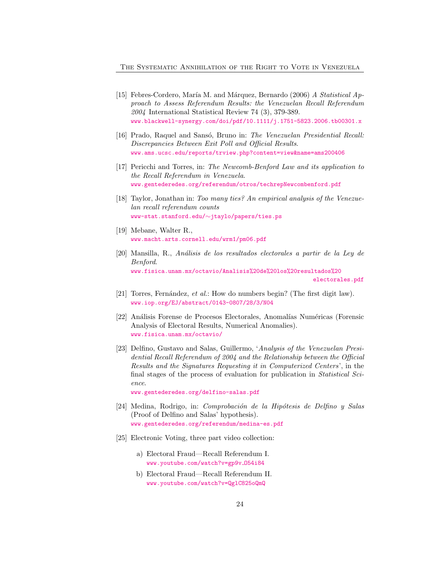- <span id="page-23-0"></span>[15] Febres-Cordero, María M. and Márquez, Bernardo (2006) A Statistical Approach to Assess Referendum Results: the Venezuelan Recall Referendum 2004 International Statistical Review 74 (3), 379-389. [www.blackwell-synergy.com/doi/pdf/10.1111/j.1751-5823.2006.tb00301.x](http://www.blackwell-synergy.com/doi/pdf/10.1111/j.1751-5823.2006.tb00301.x)
- <span id="page-23-1"></span>[16] Prado, Raquel and Sansó, Bruno in: The Venezuelan Presidential Recall: Discrepancies Between Exit Poll and Official Results. [www.ams.ucsc.edu/reports/trview.php?content=view&name=ams200406](http://www.ams.ucsc.edu/reports/trview.php?content=view&name=ams2004-06)
- <span id="page-23-2"></span>[17] Pericchi and Torres, in: The Newcomb-Benford Law and its application to the Recall Referendum in Venezuela. [www.gentederedes.org/referendum/otros/techrepNewcombenford.pdf](http://www.gentederedes.org/referendum/otros/techrepNewcombenford.pdf)
- [18] Taylor, Jonathan in: Too many ties? An empirical analysis of the Venezuelan recall referendum counts [www-stat.stanford.edu/](http://www-stat.stanford.edu/~jtaylo/papers/ties.ps)∼jtaylo/papers/ties.ps
- <span id="page-23-3"></span>[19] Mebane, Walter R., [www.macht.arts.cornell.edu/wrm1/pm06.pdf](http://www.macht.arts.cornell.edu/wrm1/pm06.pdf)
- <span id="page-23-4"></span>[20] Mansilla, R., An´alisis de los resultados electorales a partir de la Ley de Benford. [www.fisica.unam.mx/octavio/Analisis%20de%20los%20resultados%20](http://www.fisica.unam.mx/octavio/Analisis%20de%20los%20resultados%20electorales.pdf) [electorales.pdf](http://www.fisica.unam.mx/octavio/Analisis%20de%20los%20resultados%20electorales.pdf)
- <span id="page-23-5"></span>[21] Torres, Fernández, et al.: How do numbers begin? (The first digit law). [www.iop.org/EJ/abstract/0143-0807/28/3/N04](http://www.iop.org/EJ/abstract/0143-0807/28/3/N04)
- <span id="page-23-6"></span>[22] Análisis Forense de Procesos Electorales, Anomalías Numéricas (Forensic Analysis of Electoral Results, Numerical Anomalies). [www.fisica.unam.mx/octavio/](http://www.fisica.unam.mx/octavio/)
- <span id="page-23-7"></span>[23] Delfino, Gustavo and Salas, Guillermo, 'Analysis of the Venezuelan Presidential Recall Referendum of 2004 and the Relationship between the Official Results and the Signatures Requesting it in Computerized Centers', in the final stages of the process of evaluation for publication in Statistical Science.

[www.gentederedes.org/delfino-salas.pdf](http://www.gentederedes.org/delfino-salas.pdf)

- <span id="page-23-8"></span>[24] Medina, Rodrigo, in: *Comprobación de la Hipótesis de Delfino y Salas* (Proof of Delfino and Salas' hypothesis). [www.gentederedes.org/referendum/medina-es.pdf](http://www.gentederedes.org/referendum/medina-es.pdf)
- <span id="page-23-9"></span>[25] Electronic Voting, three part video collection:
	- a) Electoral Fraud—Recall Referendum I. [www.youtube.com/watch?v=gp9v](http://www.youtube.com/watch?v=gp9v_O54i84)\_054i84
	- b) Electoral Fraud—Recall Referendum II. [www.youtube.com/watch?v=QglC825oQmQ](http://www.youtube.com/watch?v=QglC825oQmQ)